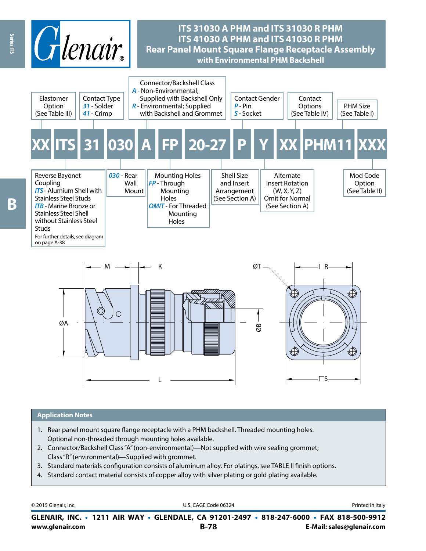

#### **Application Notes**

- 1. Rear panel mount square flange receptacle with a PHM backshell. Threaded mounting holes. Optional non-threaded through mounting holes available.
- 2. Connector/Backshell Class "A" (non-environmental)—Not supplied with wire sealing grommet; Class "R" (environmental)—Supplied with grommet.
- 3. Standard materials configuration consists of aluminum alloy. For platings, see TABLE II finish options.
- 4. Standard contact material consists of copper alloy with silver plating or gold plating available.

**www.glenair.com B-78 E-Mail: sales@glenair.com GLENAIR, INC. • 1211 AIR WAY • GLENDALE, CA 91201-2497 • 818-247-6000 • FAX 818-500-9912** © 2015 Glenair, Inc. **Discription Construction Construction Construction Construction Construction Construction Construction Construction Construction Construction Construction Construction Construction Construction Constr** 

Ŗ